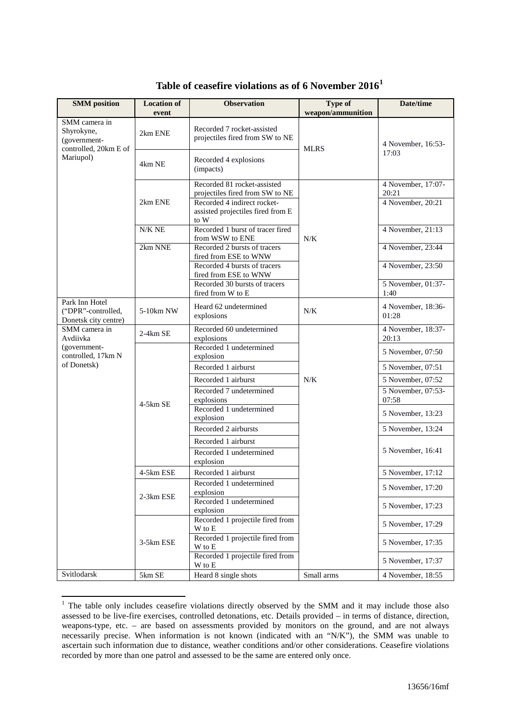| <b>SMM</b> position                                              | <b>Location of</b>    | <b>Observation</b>                                                       | Type of<br>weapon/ammunition | Date/time                   |
|------------------------------------------------------------------|-----------------------|--------------------------------------------------------------------------|------------------------------|-----------------------------|
| SMM camera in                                                    | event                 |                                                                          |                              |                             |
| Shyrokyne,<br>(government-<br>controlled, 20km E of<br>Mariupol) | 2km ENE               | Recorded 7 rocket-assisted<br>projectiles fired from SW to NE            | <b>MLRS</b>                  | 4 November, 16:53-          |
|                                                                  | 4km NE                | Recorded 4 explosions<br>(impacts)                                       |                              | 17:03                       |
|                                                                  |                       | Recorded 81 rocket-assisted<br>projectiles fired from SW to NE           |                              | 4 November, 17:07-<br>20:21 |
|                                                                  | 2km ENE               | Recorded 4 indirect rocket-<br>assisted projectiles fired from E<br>to W |                              | 4 November, 20:21           |
|                                                                  | $N/K$ NE              | Recorded 1 burst of tracer fired<br>from WSW to ENE                      | N/K                          | 4 November, 21:13           |
|                                                                  | 2km NNE               | Recorded 2 bursts of tracers<br>fired from ESE to WNW                    |                              | 4 November, 23:44           |
|                                                                  |                       | Recorded 4 bursts of tracers<br>fired from ESE to WNW                    |                              | 4 November, 23:50           |
|                                                                  |                       | Recorded 30 bursts of tracers<br>fired from W to E                       |                              | 5 November, 01:37-<br>1:40  |
| Park Inn Hotel<br>("DPR"-controlled,<br>Donetsk city centre)     | 5-10km NW             | Heard 62 undetermined<br>explosions                                      | N/K                          | 4 November, 18:36-<br>01:28 |
| SMM camera in<br>Avdiivka                                        | $2-4km$ SE            | Recorded 60 undetermined<br>explosions                                   |                              | 4 November, 18:37-<br>20:13 |
| (government-<br>controlled, 17km N                               | $4-5km$ SE            | Recorded 1 undetermined<br>explosion                                     |                              | 5 November, 07:50           |
| of Donetsk)                                                      |                       | Recorded 1 airburst                                                      |                              | 5 November, 07:51           |
|                                                                  |                       | Recorded 1 airburst                                                      | $N/K$                        | 5 November, 07:52           |
|                                                                  |                       | Recorded 7 undetermined<br>explosions                                    |                              | 5 November, 07:53-<br>07:58 |
|                                                                  |                       | Recorded 1 undetermined<br>explosion                                     |                              | 5 November, 13:23           |
|                                                                  |                       | Recorded 2 airbursts                                                     |                              | 5 November, 13:24           |
|                                                                  |                       | Recorded 1 airburst                                                      |                              |                             |
|                                                                  |                       | Recorded 1 undetermined<br>explosion                                     |                              | 5 November, 16:41           |
|                                                                  | 4-5km ESE             | Recorded 1 airburst                                                      |                              | 5 November, 17:12           |
|                                                                  |                       | Recorded 1 undetermined<br>explosion                                     |                              | 5 November, 17:20           |
|                                                                  | 2-3km ESE             | Recorded 1 undetermined<br>explosion                                     |                              | 5 November, 17:23           |
|                                                                  |                       | Recorded 1 projectile fired from<br>W to E                               |                              | 5 November, 17:29           |
|                                                                  | 3-5km ESE             | Recorded 1 projectile fired from<br>W to E                               |                              | 5 November, 17:35           |
|                                                                  |                       | Recorded 1 projectile fired from<br>$\mathbf W$ to $\mathbf E$           |                              | 5 November, 17:37           |
| Svitlodarsk                                                      | $5{\rm km}\ {\rm SE}$ | Heard 8 single shots                                                     | Small arms                   | 4 November, 18:55           |

## **Table of ceasefire violations as of 6 November 2016[1](#page-0-0)**

<span id="page-0-0"></span><sup>&</sup>lt;sup>1</sup> The table only includes ceasefire violations directly observed by the SMM and it may include those also assessed to be live-fire exercises, controlled detonations, etc. Details provided – in terms of distance, direction, weapons-type, etc. – are based on assessments provided by monitors on the ground, and are not always necessarily precise. When information is not known (indicated with an "N/K"), the SMM was unable to ascertain such information due to distance, weather conditions and/or other considerations. Ceasefire violations recorded by more than one patrol and assessed to be the same are entered only once.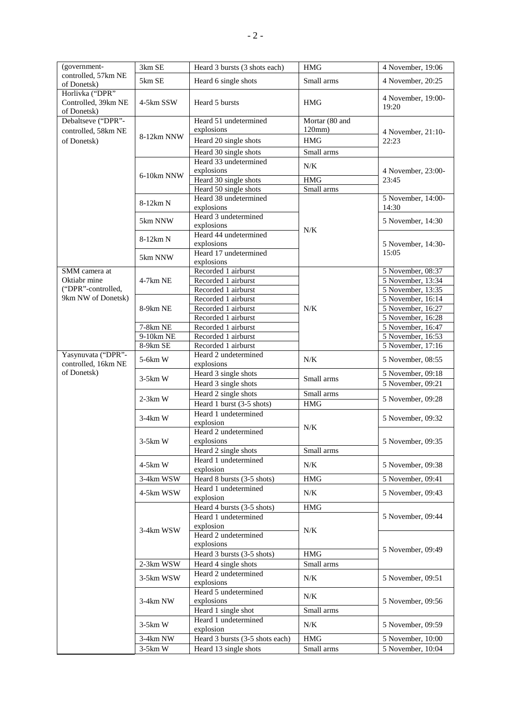| (government-                                             | 3km SE                  | Heard 3 bursts (3 shots each)                                     | <b>HMG</b>                             | 4 November, 19:06                                                        |
|----------------------------------------------------------|-------------------------|-------------------------------------------------------------------|----------------------------------------|--------------------------------------------------------------------------|
| controlled, 57km NE<br>of Donetsk)                       | 5km SE                  | Heard 6 single shots                                              | Small arms                             | 4 November, 20:25                                                        |
| Horlivka ("DPR"<br>Controlled, 39km NE<br>of Donetsk)    | 4-5km SSW               | Heard 5 bursts                                                    | <b>HMG</b>                             | 4 November, 19:00-<br>19:20                                              |
| Debaltseve ("DPR"-<br>controlled, 58km NE<br>of Donetsk) | 8-12km NNW              | Heard 51 undetermined<br>explosions<br>Heard 20 single shots      | Mortar (80 and<br>120mm)<br><b>HMG</b> | 4 November, 21:10-<br>22:23                                              |
|                                                          |                         | Heard 30 single shots                                             | Small arms                             |                                                                          |
|                                                          | 6-10km NNW              | Heard 33 undetermined<br>explosions                               | $N/K$                                  | 4 November, 23:00-                                                       |
|                                                          |                         | Heard 30 single shots<br>Heard 50 single shots                    | <b>HMG</b><br>Small arms               | 23:45                                                                    |
|                                                          | 8-12km N                | Heard 38 undetermined<br>explosions                               |                                        | 5 November, 14:00-<br>14:30                                              |
|                                                          | 5km NNW                 | Heard 3 undetermined<br>explosions                                | N/K                                    | 5 November, 14:30                                                        |
|                                                          | 8-12km N                | Heard 44 undetermined<br>explosions                               |                                        | 5 November, 14:30-                                                       |
|                                                          | 5km NNW                 | Heard 17 undetermined<br>explosions                               |                                        | 15:05                                                                    |
| SMM camera at<br>Oktiabr mine<br>("DPR"-controlled,      | $4-7km$ NE              | Recorded 1 airburst<br>Recorded 1 airburst<br>Recorded 1 airburst |                                        | 5 November, 08:37<br>$\overline{5}$ November, 13:34<br>5 November, 13:35 |
| 9km NW of Donetsk)                                       | 8-9km NE                | Recorded 1 airburst<br>Recorded 1 airburst<br>Recorded 1 airburst | $N/K$                                  | 5 November, 16:14<br>5 November, 16:27<br>5 November, 16:28              |
|                                                          | 7-8km NE<br>$9-10km$ NE | Recorded 1 airburst<br>Recorded 1 airburst                        |                                        | 5 November, 16:47<br>5 November, 16:53                                   |
| Yasynuvata ("DPR"-                                       | 8-9km SE                | Recorded 1 airburst<br>Heard 2 undetermined                       |                                        | 5 November, 17:16                                                        |
| controlled, 16km NE                                      | 5-6km W                 | explosions                                                        | $N/K$                                  | 5 November, 08:55                                                        |
| of Donetsk)                                              | $3-5km$ W               | Heard 3 single shots                                              | Small arms                             | 5 November, 09:18                                                        |
|                                                          |                         | Heard 3 single shots<br>Heard 2 single shots                      | Small arms                             | 5 November, 09:21                                                        |
|                                                          | $2-3km$ W               | Heard 1 burst (3-5 shots)                                         | <b>HMG</b>                             | 5 November, 09:28                                                        |
|                                                          | $3-4km$ W               | Heard 1 undetermined<br>explosion                                 | N/K                                    | 5 November, 09:32                                                        |
|                                                          | $3-5km$ W               | Heard 2 undetermined<br>explosions                                |                                        | 5 November, 09:35                                                        |
|                                                          |                         | Heard 2 single shots<br>Heard 1 undetermined                      | Small arms                             |                                                                          |
|                                                          | $4-5km$ W               | explosion                                                         | $N/K$                                  | 5 November, 09:38                                                        |
|                                                          | 3-4km WSW               | Heard 8 bursts (3-5 shots)                                        | <b>HMG</b>                             | 5 November, 09:41                                                        |
|                                                          | 4-5km WSW               | Heard 1 undetermined<br>explosion                                 | N/K                                    | 5 November, 09:43                                                        |
|                                                          | 3-4km WSW               | Heard 4 bursts (3-5 shots)<br>Heard 1 undetermined<br>explosion   | <b>HMG</b><br>N/K                      | 5 November, 09:44                                                        |
|                                                          |                         | Heard 2 undetermined<br>explosions<br>Heard 3 bursts (3-5 shots)  | <b>HMG</b>                             | 5 November, 09:49                                                        |
|                                                          | 2-3km WSW               | Heard 4 single shots                                              | Small arms                             |                                                                          |
|                                                          | 3-5km WSW               | Heard 2 undetermined<br>explosions                                | $N/K$                                  | 5 November, 09:51                                                        |
|                                                          | 3-4km NW                | Heard 5 undetermined<br>explosions<br>Heard 1 single shot         | N/K<br>Small arms                      | 5 November, 09:56                                                        |
|                                                          | $3-5km$ W               | Heard 1 undetermined<br>explosion                                 | $N/K$                                  | 5 November, 09:59                                                        |
|                                                          | $3-4km$ NW              | Heard 3 bursts (3-5 shots each)                                   | <b>HMG</b>                             | 5 November, 10:00                                                        |
|                                                          | $3-5km$ W               | Heard 13 single shots                                             | Small arms                             | 5 November, 10:04                                                        |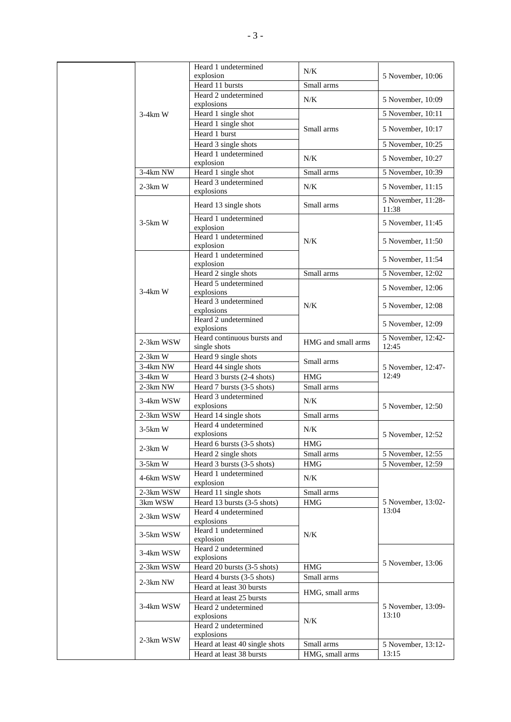|  |           | Heard 1 undetermined                               | N/K                | 5 November, 10:06                      |  |
|--|-----------|----------------------------------------------------|--------------------|----------------------------------------|--|
|  |           | explosion                                          |                    |                                        |  |
|  |           | Heard 11 bursts                                    | Small arms         |                                        |  |
|  | $3-4km$ W | Heard 2 undetermined                               | N/K                | 5 November, 10:09                      |  |
|  |           | explosions                                         |                    | 5 November, 10:11                      |  |
|  |           | Heard 1 single shot                                |                    |                                        |  |
|  |           | Heard 1 single shot                                | Small arms         | 5 November, 10:17                      |  |
|  |           | Heard 1 burst                                      |                    | 5 November, 10:25                      |  |
|  |           | Heard 3 single shots<br>Heard 1 undetermined       |                    |                                        |  |
|  |           | explosion                                          | N/K                | 5 November, 10:27                      |  |
|  | 3-4km NW  | Heard 1 single shot                                | Small arms         | 5 November, 10:39                      |  |
|  |           | Heard 3 undetermined                               |                    |                                        |  |
|  | $2-3km$ W | explosions                                         | N/K                | 5 November, 11:15                      |  |
|  |           | Heard 13 single shots                              | Small arms         | 5 November, 11:28-<br>11:38            |  |
|  |           | Heard 1 undetermined                               |                    |                                        |  |
|  | $3-5km$ W | explosion                                          |                    | 5 November, 11:45                      |  |
|  |           | Heard 1 undetermined                               | N/K                | 5 November, 11:50                      |  |
|  |           | explosion                                          |                    |                                        |  |
|  |           | Heard 1 undetermined<br>explosion                  |                    | 5 November, 11:54                      |  |
|  |           | Heard 2 single shots                               | Small arms         | 5 November, 12:02                      |  |
|  |           | Heard 5 undetermined                               |                    |                                        |  |
|  | $3-4km$ W | explosions                                         |                    | 5 November, 12:06<br>5 November, 12:08 |  |
|  |           | Heard 3 undetermined                               | N/K                |                                        |  |
|  |           | explosions                                         |                    |                                        |  |
|  |           | Heard 2 undetermined<br>explosions                 |                    | 5 November, 12:09                      |  |
|  | 2-3km WSW | Heard continuous bursts and                        | HMG and small arms | 5 November, 12:42-                     |  |
|  |           | single shots                                       |                    | 12:45                                  |  |
|  | $2-3km$ W | Heard 9 single shots                               | Small arms         |                                        |  |
|  | 3-4km NW  | Heard 44 single shots                              |                    | 5 November, 12:47-<br>12:49            |  |
|  | $3-4km$ W | Heard 3 bursts (2-4 shots)                         | <b>HMG</b>         |                                        |  |
|  | 2-3km NW  | Heard 7 bursts (3-5 shots)<br>Heard 3 undetermined | Small arms         |                                        |  |
|  | 3-4km WSW | explosions                                         | N/K                | 5 November, 12:50                      |  |
|  | 2-3km WSW | Heard 14 single shots                              | Small arms         |                                        |  |
|  |           | Heard 4 undetermined                               |                    |                                        |  |
|  | $3-5km$ W | explosions                                         | N/K                | 5 November, 12:52                      |  |
|  | $2-3km$ W | Heard 6 bursts (3-5 shots)                         | HMG                |                                        |  |
|  |           | Heard 2 single shots                               | Small arms         | 5 November, 12:55                      |  |
|  | $3-5km$ W | Heard 3 bursts (3-5 shots)                         | <b>HMG</b>         | 5 November, 12:59                      |  |
|  | 4-6km WSW | Heard 1 undetermined<br>explosion                  | N/K                |                                        |  |
|  | 2-3km WSW | Heard 11 single shots                              | Small arms         |                                        |  |
|  | 3km WSW   | Heard 13 bursts (3-5 shots)                        | <b>HMG</b>         | 5 November, 13:02-                     |  |
|  | 2-3km WSW | Heard 4 undetermined                               |                    | 13:04                                  |  |
|  |           | explosions                                         |                    |                                        |  |
|  | 3-5km WSW | Heard 1 undetermined                               | N/K                |                                        |  |
|  |           | explosion                                          |                    |                                        |  |
|  | 3-4km WSW | Heard 2 undetermined<br>explosions                 |                    |                                        |  |
|  | 2-3km WSW | Heard 20 bursts (3-5 shots)                        | HMG                | 5 November, 13:06                      |  |
|  |           | Heard 4 bursts (3-5 shots)                         | Small arms         |                                        |  |
|  | 2-3km NW  | Heard at least 30 bursts                           |                    |                                        |  |
|  |           | Heard at least 25 bursts                           | HMG, small arms    |                                        |  |
|  | 3-4km WSW | Heard 2 undetermined                               |                    | 5 November, 13:09-                     |  |
|  |           | explosions                                         | N/K                | 13:10                                  |  |
|  |           | Heard 2 undetermined                               |                    |                                        |  |
|  | 2-3km WSW | explosions                                         |                    |                                        |  |
|  |           | Heard at least 40 single shots                     | Small arms         | 5 November, 13:12-                     |  |
|  |           | Heard at least 38 bursts                           | HMG, small arms    | 13:15                                  |  |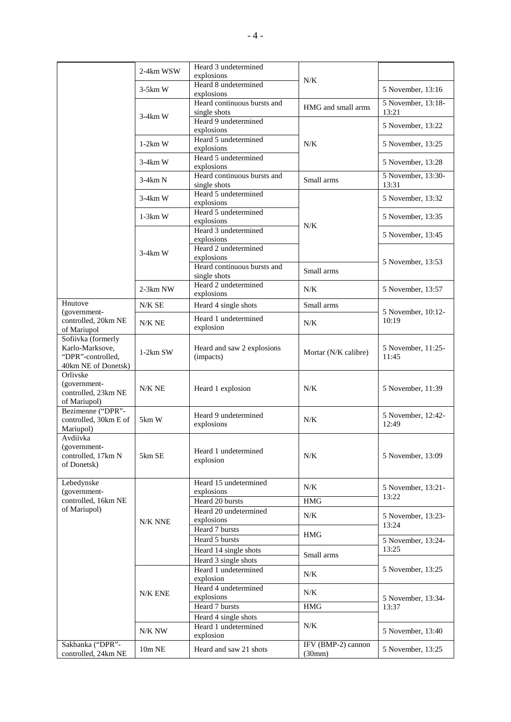|                       | 2-4km WSW     | Heard 3 undetermined        |                      |                    |
|-----------------------|---------------|-----------------------------|----------------------|--------------------|
|                       |               | explosions                  | N/K                  |                    |
|                       | $3-5km$ W     | Heard 8 undetermined        |                      | 5 November, 13:16  |
|                       |               | explosions                  |                      |                    |
|                       |               | Heard continuous bursts and | HMG and small arms   | 5 November, 13:18- |
|                       | $3-4km$ W     | single shots                |                      | 13:21              |
|                       |               | Heard 9 undetermined        |                      | 5 November, 13:22  |
|                       |               | explosions                  |                      |                    |
|                       |               | Heard 5 undetermined        |                      |                    |
|                       | $1-2km$ W     | explosions                  | N/K                  | 5 November, 13:25  |
|                       |               | Heard 5 undetermined        |                      |                    |
|                       | $3-4km$ W     | explosions                  |                      | 5 November, 13:28  |
|                       |               | Heard continuous bursts and |                      | 5 November, 13:30- |
|                       | $3-4km N$     |                             | Small arms           | 13:31              |
|                       |               | single shots                |                      |                    |
|                       | $3-4km$ W     | Heard 5 undetermined        |                      | 5 November, 13:32  |
|                       |               | explosions                  |                      |                    |
|                       | $1-3km$ W     | Heard 5 undetermined        |                      | 5 November, 13:35  |
|                       |               | explosions                  | N/K                  |                    |
|                       |               | Heard 3 undetermined        |                      | 5 November, 13:45  |
|                       |               | explosions                  |                      |                    |
|                       |               | Heard 2 undetermined        |                      |                    |
|                       | $3-4km$ W     | explosions                  |                      |                    |
|                       |               | Heard continuous bursts and |                      | 5 November, 13:53  |
|                       |               | single shots                | Small arms           |                    |
|                       |               | Heard 2 undetermined        |                      |                    |
|                       | $2-3km$ NW    | explosions                  | N/K                  | 5 November, 13:57  |
| Hnutove               |               |                             |                      |                    |
|                       | N/KSE         | Heard 4 single shots        | Small arms           |                    |
| (government-          |               | Heard 1 undetermined        |                      | 5 November, 10:12- |
| controlled, 20km NE   | $N/K$ NE      | explosion                   | N/K                  | 10:19              |
| of Mariupol           |               |                             |                      |                    |
| Sofiivka (formerly    |               |                             |                      |                    |
| Karlo-Marksove,       | $1-2km$ SW    | Heard and saw 2 explosions  | Mortar (N/K calibre) | 5 November, 11:25- |
| "DPR"-controlled,     |               | (impacts)                   |                      | 11:45              |
| 40km NE of Donetsk)   |               |                             |                      |                    |
| Orlivske              |               |                             |                      |                    |
| (government-          |               |                             |                      |                    |
| controlled, 23km NE   | N/K NE        | Heard 1 explosion           | N/K                  | 5 November, 11:39  |
| of Mariupol)          |               |                             |                      |                    |
| Bezimenne ("DPR"-     |               |                             |                      |                    |
| controlled, 30km E of | 5km W         | Heard 9 undetermined        | N/K                  | 5 November, 12:42- |
|                       |               | explosions                  |                      | 12:49              |
| Mariupol)             |               |                             |                      |                    |
| Avdiivka              |               |                             |                      |                    |
| (government-          |               | Heard 1 undetermined        |                      |                    |
| controlled, 17km N    | 5km SE        | explosion                   | N/K                  | 5 November, 13:09  |
| of Donetsk)           |               |                             |                      |                    |
|                       |               |                             |                      |                    |
| Lebedynske            |               | Heard 15 undetermined       |                      |                    |
| (government-          |               | explosions                  | N/K                  | 5 November, 13:21- |
| controlled, 16km NE   |               | Heard 20 bursts             | <b>HMG</b>           | 13:22              |
| of Mariupol)          |               | Heard 20 undetermined       |                      |                    |
|                       |               |                             | N/K                  | 5 November, 13:23- |
|                       | N/K NNE       | explosions                  |                      | 13:24              |
|                       |               | Heard 7 bursts              | <b>HMG</b>           |                    |
|                       |               | Heard 5 bursts              |                      | 5 November, 13:24- |
|                       |               | Heard 14 single shots       |                      | 13:25              |
|                       |               | Heard 3 single shots        | Small arms           |                    |
|                       |               |                             |                      |                    |
|                       |               | Heard 1 undetermined        | N/K                  | 5 November, 13:25  |
|                       |               | explosion                   |                      |                    |
|                       | N/K ENE       | Heard 4 undetermined        | N/K                  |                    |
|                       |               | explosions                  |                      | 5 November, 13:34- |
|                       |               | Heard 7 bursts              | <b>HMG</b>           | 13:37              |
|                       |               | Heard 4 single shots        |                      |                    |
|                       |               | Heard 1 undetermined        | N/K                  |                    |
|                       | N/K NW        |                             |                      | 5 November, 13:40  |
|                       |               | explosion                   |                      |                    |
| Sakhanka ("DPR"-      | $10m$ NE $\,$ | Heard and saw 21 shots      | IFV (BMP-2) cannon   | 5 November, 13:25  |
| controlled, 24km NE   |               |                             | (30mm)               |                    |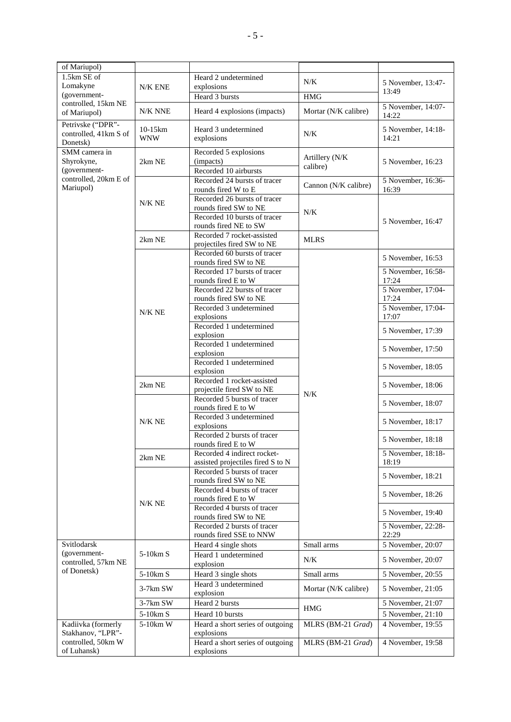| of Mariupol)                                           |                       |                                                                  |                      |                             |
|--------------------------------------------------------|-----------------------|------------------------------------------------------------------|----------------------|-----------------------------|
| 1.5km SE of<br>Lomakyne                                | N/K ENE               | Heard 2 undetermined<br>explosions                               | N/K                  | 5 November, 13:47-          |
| (government-                                           |                       | Heard 3 bursts                                                   | <b>HMG</b>           | 13:49                       |
| controlled, 15km NE<br>of Mariupol)                    | N/K NNE               | Heard 4 explosions (impacts)                                     | Mortar (N/K calibre) | 5 November, 14:07-<br>14:22 |
| Petrivske ("DPR"-<br>controlled, 41km S of<br>Donetsk) | 10-15km<br><b>WNW</b> | Heard 3 undetermined<br>explosions                               | $N/K$                | 5 November, 14:18-<br>14:21 |
| SMM camera in<br>Shyrokyne,                            | 2km NE                | Recorded 5 explosions<br>(impacts)                               | Artillery (N/K       | 5 November, 16:23           |
| (government-                                           |                       | Recorded 10 airbursts                                            | calibre)             |                             |
| controlled, 20km E of                                  |                       | Recorded 24 bursts of tracer                                     |                      | 5 November, 16:36-          |
| Mariupol)                                              |                       | rounds fired W to E                                              | Cannon (N/K calibre) | 16:39                       |
|                                                        | N/K NE                | Recorded 26 bursts of tracer                                     |                      |                             |
|                                                        |                       | rounds fired SW to NE                                            | $N/K$                |                             |
|                                                        |                       | Recorded 10 bursts of tracer<br>rounds fired NE to SW            |                      | 5 November, 16:47           |
|                                                        | 2km NE                | Recorded 7 rocket-assisted                                       | <b>MLRS</b>          |                             |
|                                                        |                       | projectiles fired SW to NE                                       |                      |                             |
|                                                        |                       | Recorded 60 bursts of tracer<br>rounds fired SW to NE            |                      | 5 November, 16:53           |
|                                                        |                       | Recorded 17 bursts of tracer                                     |                      | 5 November, 16:58-          |
|                                                        |                       | rounds fired E to W                                              |                      | 17:24                       |
|                                                        |                       | Recorded 22 bursts of tracer                                     |                      | 5 November, 17:04-          |
|                                                        |                       | rounds fired SW to NE                                            |                      | 17:24                       |
|                                                        | N/K NE                | Recorded 3 undetermined                                          |                      | 5 November, 17:04-          |
|                                                        |                       | explosions<br>Recorded 1 undetermined                            |                      | 17:07                       |
|                                                        |                       | explosion                                                        |                      | 5 November, 17:39           |
|                                                        |                       | Recorded 1 undetermined                                          |                      |                             |
|                                                        |                       | explosion                                                        |                      | 5 November, 17:50           |
|                                                        |                       | Recorded 1 undetermined<br>explosion                             |                      | 5 November, 18:05           |
|                                                        |                       | Recorded 1 rocket-assisted                                       |                      |                             |
|                                                        | 2km NE                | projectile fired SW to NE                                        | N/K                  | 5 November, 18:06           |
|                                                        |                       | Recorded 5 bursts of tracer                                      |                      | 5 November, 18:07           |
|                                                        |                       | rounds fired E to W                                              |                      |                             |
|                                                        | N/K NE                | Recorded 3 undetermined<br>explosions                            |                      | 5 November, 18:17           |
|                                                        |                       | Recorded 2 bursts of tracer                                      |                      |                             |
|                                                        |                       | rounds fired E to W                                              |                      | 5 November, 18:18           |
|                                                        | 2km NE                | Recorded 4 indirect rocket-<br>assisted projectiles fired S to N |                      | 5 November, 18:18-<br>18:19 |
|                                                        |                       | Recorded 5 bursts of tracer                                      |                      |                             |
|                                                        |                       | rounds fired SW to NE                                            |                      | 5 November, 18:21           |
|                                                        |                       | Recorded 4 bursts of tracer<br>rounds fired E to W               |                      | 5 November, 18:26           |
|                                                        | $N/K$ NE              | Recorded 4 bursts of tracer                                      |                      | 5 November, 19:40           |
|                                                        |                       | rounds fired SW to NE<br>Recorded 2 bursts of tracer             |                      | 5 November, 22:28-          |
|                                                        |                       | rounds fired SSE to NNW                                          |                      | 22:29                       |
| Svitlodarsk                                            |                       | Heard 4 single shots                                             | Small arms           | 5 November, 20:07           |
| (government-                                           | $5-10km S$            | Heard 1 undetermined                                             | N/K                  | 5 November, 20:07           |
| controlled, 57km NE<br>of Donetsk)                     |                       | explosion                                                        |                      |                             |
|                                                        | 5-10km S              | Heard 3 single shots                                             | Small arms           | 5 November, 20:55           |
|                                                        | 3-7km SW              | Heard 3 undetermined<br>explosion                                | Mortar (N/K calibre) | 5 November, 21:05           |
|                                                        | 3-7km SW              | Heard 2 bursts                                                   |                      | 5 November, 21:07           |
|                                                        | 5-10km S              | Heard 10 bursts                                                  | <b>HMG</b>           | 5 November, 21:10           |
| Kadiivka (formerly                                     | 5-10km W              | Heard a short series of outgoing                                 | MLRS (BM-21 Grad)    | 4 November, 19:55           |
| Stakhanov, "LPR"-                                      |                       | explosions                                                       |                      |                             |
| controlled, 50km W<br>of Luhansk)                      |                       | Heard a short series of outgoing<br>explosions                   | MLRS (BM-21 Grad)    | 4 November, 19:58           |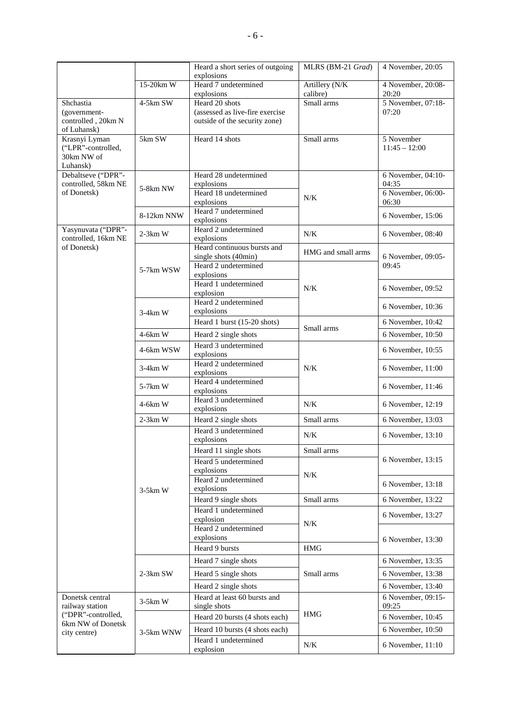|                     |            | Heard a short series of outgoing<br>explosions | MLRS (BM-21 Grad)  | 4 November, 20:05  |
|---------------------|------------|------------------------------------------------|--------------------|--------------------|
|                     | 15-20km W  | Heard 7 undetermined                           | Artillery (N/K     | 4 November, 20:08- |
|                     |            | explosions                                     | calibre)           | 20:20              |
| Shchastia           | 4-5km SW   | Heard 20 shots                                 | Small arms         | 5 November, 07:18- |
| (government-        |            | (assessed as live-fire exercise                |                    | 07:20              |
| controlled, 20km N  |            | outside of the security zone)                  |                    |                    |
| of Luhansk)         |            |                                                |                    |                    |
| Krasnyi Lyman       | 5km SW     | Heard 14 shots                                 | Small arms         | 5 November         |
| ("LPR"-controlled,  |            |                                                |                    | $11:45 - 12:00$    |
| 30km NW of          |            |                                                |                    |                    |
| Luhansk)            |            |                                                |                    |                    |
| Debaltseve ("DPR"-  |            | Heard 28 undetermined                          |                    | 6 November, 04:10- |
| controlled, 58km NE | 5-8km NW   | explosions                                     |                    | 04:35              |
| of Donetsk)         |            | Heard 18 undetermined                          | $N/K$              | 6 November, 06:00- |
|                     |            | explosions                                     |                    | 06:30              |
|                     | 8-12km NNW | Heard 7 undetermined                           |                    | 6 November, 15:06  |
|                     |            | explosions                                     |                    |                    |
| Yasynuvata ("DPR"-  | $2-3km$ W  | Heard 2 undetermined                           | $N/K$              | 6 November, 08:40  |
| controlled, 16km NE |            | explosions                                     |                    |                    |
| of Donetsk)         |            | Heard continuous bursts and                    | HMG and small arms |                    |
|                     |            | single shots (40min)                           |                    | 6 November, 09:05- |
|                     | 5-7km WSW  | Heard 2 undetermined                           |                    | 09:45              |
|                     |            | explosions                                     |                    |                    |
|                     |            | Heard 1 undetermined                           | $N/K$              | 6 November, 09:52  |
|                     |            | explosion<br>Heard 2 undetermined              |                    |                    |
|                     |            |                                                |                    | 6 November, 10:36  |
|                     | $3-4km$ W  | explosions                                     |                    |                    |
|                     |            | Heard 1 burst (15-20 shots)                    | Small arms         | 6 November, 10:42  |
|                     | $4-6km$ W  | Heard 2 single shots                           |                    | 6 November, 10:50  |
|                     |            | Heard 3 undetermined                           |                    |                    |
|                     | 4-6km WSW  | explosions                                     |                    | 6 November, 10:55  |
|                     | $3-4km$ W  | Heard 2 undetermined                           | $N/K$              | 6 November, 11:00  |
|                     |            | explosions                                     |                    |                    |
|                     | 5-7km W    | Heard 4 undetermined                           |                    | 6 November, 11:46  |
|                     |            | explosions                                     |                    |                    |
|                     | 4-6km W    | Heard 3 undetermined                           | $N/K$              | 6 November, 12:19  |
|                     |            | explosions                                     |                    |                    |
|                     | $2-3km$ W  | Heard 2 single shots                           | Small arms         | 6 November, 13:03  |
|                     |            | Heard 3 undetermined                           | $N/K$              | 6 November, 13:10  |
|                     |            | explosions                                     |                    |                    |
|                     |            | Heard 11 single shots                          | Small arms         |                    |
|                     |            | Heard 5 undetermined                           |                    | 6 November, 13:15  |
|                     |            | explosions                                     |                    |                    |
|                     |            | Heard 2 undetermined                           | N/K                |                    |
|                     | $3-5km$ W  | explosions                                     |                    | 6 November, 13:18  |
|                     |            | Heard 9 single shots                           | Small arms         | 6 November, 13:22  |
|                     |            | Heard 1 undetermined                           |                    |                    |
|                     |            | explosion                                      |                    | 6 November, 13:27  |
|                     |            | Heard 2 undetermined                           | $N/K$              |                    |
|                     |            | explosions                                     |                    |                    |
|                     |            | Heard 9 bursts                                 | $\rm HMG$          | 6 November, 13:30  |
|                     |            |                                                |                    |                    |
|                     |            | Heard 7 single shots                           |                    | 6 November, 13:35  |
|                     | $2-3km$ SW | Heard 5 single shots                           | Small arms         | 6 November, 13:38  |
|                     |            | Heard 2 single shots                           |                    | 6 November, 13:40  |
| Donetsk central     |            | Heard at least 60 bursts and                   |                    | 6 November, 09:15- |
| railway station     | $3-5km$ W  | single shots                                   |                    | 09:25              |
| ("DPR"-controlled,  |            | Heard 20 bursts (4 shots each)                 | <b>HMG</b>         | 6 November, 10:45  |
| 6km NW of Donetsk   |            |                                                |                    |                    |
| city centre)        | 3-5km WNW  | Heard 10 bursts (4 shots each)                 |                    | 6 November, 10:50  |
|                     |            | Heard 1 undetermined                           | $N/K$              | 6 November, 11:10  |
|                     |            | explosion                                      |                    |                    |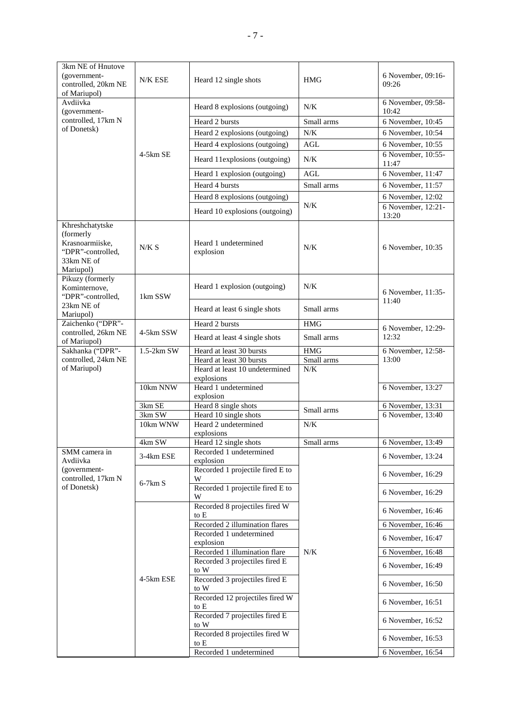| 3km NE of Hnutove<br>(government-<br>controlled, 20km NE<br>of Mariupol)                        | N/K ESE    | Heard 12 single shots                                      | <b>HMG</b>          | 6 November, 09:16-<br>09:26 |
|-------------------------------------------------------------------------------------------------|------------|------------------------------------------------------------|---------------------|-----------------------------|
| Avdiivka<br>(government-                                                                        |            | Heard 8 explosions (outgoing)                              | N/K                 | 6 November, 09:58-<br>10:42 |
| controlled, 17km N                                                                              |            | Heard 2 bursts                                             | Small arms          | 6 November, 10:45           |
| of Donetsk)                                                                                     |            | Heard 2 explosions (outgoing)                              | $N/K$               | 6 November, 10:54           |
|                                                                                                 |            | Heard 4 explosions (outgoing)                              | AGL                 | 6 November, 10:55           |
|                                                                                                 | $4-5km$ SE | Heard 11explosions (outgoing)                              | N/K                 | 6 November, 10:55-<br>11:47 |
|                                                                                                 |            | Heard 1 explosion (outgoing)                               | <b>AGL</b>          | 6 November, 11:47           |
|                                                                                                 |            | Heard 4 bursts                                             | Small arms          | 6 November, 11:57           |
|                                                                                                 |            | Heard 8 explosions (outgoing)                              |                     | 6 November, 12:02           |
|                                                                                                 |            |                                                            | N/K                 | 6 November, 12:21-          |
|                                                                                                 |            | Heard 10 explosions (outgoing)                             |                     | 13:20                       |
| Khreshchatytske<br>(formerly<br>Krasnoarmiiske,<br>"DPR"-controlled,<br>33km NE of<br>Mariupol) | N/K S      | Heard 1 undetermined<br>explosion                          | N/K                 | 6 November, 10:35           |
| Pikuzy (formerly<br>Kominternove,<br>"DPR"-controlled,                                          | 1km SSW    | Heard 1 explosion (outgoing)                               | N/K                 | 6 November, 11:35-<br>11:40 |
| 23km NE of<br>Mariupol)                                                                         |            | Heard at least 6 single shots                              | Small arms          |                             |
| Zaichenko ("DPR"-                                                                               |            | Heard 2 bursts                                             | <b>HMG</b>          | 6 November, 12:29-          |
| controlled, 26km NE<br>of Mariupol)                                                             | 4-5km SSW  | Heard at least 4 single shots                              | Small arms          | 12:32                       |
| Sakhanka ("DPR"-                                                                                | 1.5-2km SW | Heard at least 30 bursts                                   | <b>HMG</b>          | 6 November, 12:58-          |
| controlled, 24km NE<br>of Mariupol)                                                             |            | Heard at least 30 bursts<br>Heard at least 10 undetermined | Small arms<br>$N/K$ | 13:00                       |
|                                                                                                 |            | explosions                                                 |                     |                             |
|                                                                                                 | 10km NNW   | Heard 1 undetermined<br>explosion                          |                     | 6 November, 13:27           |
|                                                                                                 | 3km SE     | Heard 8 single shots                                       |                     | 6 November, 13:31           |
|                                                                                                 | 3km SW     | Heard 10 single shots                                      | Small arms          | 6 November, 13:40           |
|                                                                                                 | 10km WNW   | Heard 2 undetermined<br>explosions                         | $N/K$               |                             |
|                                                                                                 | 4km SW     | Heard 12 single shots                                      | Small arms          | 6 November, 13:49           |
| SMM camera in<br>Avdiivka                                                                       | 3-4km ESE  | Recorded 1 undetermined<br>explosion                       |                     | 6 November, 13:24           |
| (government-<br>controlled, 17km N                                                              | $6-7km S$  | Recorded 1 projectile fired E to<br>W                      |                     | 6 November, 16:29           |
| of Donetsk)                                                                                     |            | Recorded 1 projectile fired E to<br>W                      |                     | 6 November, 16:29           |
|                                                                                                 |            | Recorded 8 projectiles fired W<br>to E                     |                     | 6 November, 16:46           |
|                                                                                                 |            | Recorded 2 illumination flares                             |                     | 6 November, 16:46           |
|                                                                                                 |            | Recorded 1 undetermined<br>explosion                       |                     | 6 November, 16:47           |
|                                                                                                 |            | Recorded 1 illumination flare                              | N/K                 | 6 November, 16:48           |
|                                                                                                 |            | Recorded 3 projectiles fired E<br>to W                     |                     | 6 November, 16:49           |
|                                                                                                 | 4-5km ESE  | Recorded 3 projectiles fired E<br>to W                     |                     | 6 November, 16:50           |
|                                                                                                 |            | Recorded 12 projectiles fired W<br>to E                    |                     | 6 November, 16:51           |
|                                                                                                 |            | Recorded 7 projectiles fired E<br>to W                     |                     | 6 November, 16:52           |
|                                                                                                 |            | Recorded 8 projectiles fired W<br>to E                     |                     | 6 November, 16:53           |
|                                                                                                 |            | Recorded 1 undetermined                                    |                     | 6 November, 16:54           |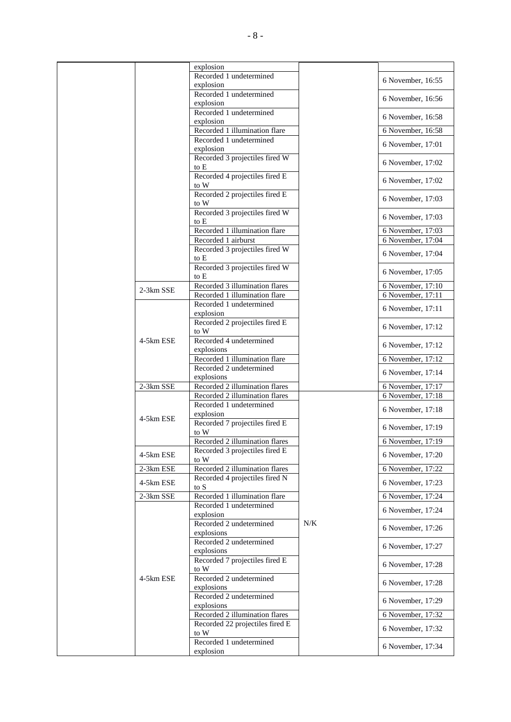|             | explosion                                                 |     |                   |
|-------------|-----------------------------------------------------------|-----|-------------------|
|             | Recorded 1 undetermined                                   |     | 6 November, 16:55 |
|             | explosion                                                 |     |                   |
|             | Recorded 1 undetermined<br>explosion                      |     | 6 November, 16:56 |
|             | Recorded 1 undetermined                                   |     | 6 November, 16:58 |
|             | explosion                                                 |     |                   |
|             | Recorded 1 illumination flare<br>Recorded 1 undetermined  |     | 6 November, 16:58 |
|             | explosion                                                 |     | 6 November, 17:01 |
|             | Recorded 3 projectiles fired W                            |     | 6 November, 17:02 |
|             | to E<br>Recorded 4 projectiles fired E                    |     |                   |
|             | to W                                                      |     | 6 November, 17:02 |
|             | Recorded 2 projectiles fired E<br>to W                    |     | 6 November, 17:03 |
|             | Recorded 3 projectiles fired W                            |     | 6 November, 17:03 |
|             | to E<br>Recorded 1 illumination flare                     |     | 6 November, 17:03 |
|             | Recorded 1 airburst                                       |     | 6 November, 17:04 |
|             | Recorded 3 projectiles fired W                            |     |                   |
|             | to E                                                      |     | 6 November, 17:04 |
|             | Recorded 3 projectiles fired W<br>to E                    |     | 6 November, 17:05 |
|             | Recorded 3 illumination flares                            |     | 6 November, 17:10 |
| 2-3km SSE   | Recorded 1 illumination flare                             |     | 6 November, 17:11 |
|             | Recorded 1 undetermined                                   |     | 6 November, 17:11 |
|             | explosion                                                 |     |                   |
|             | Recorded 2 projectiles fired E<br>to W                    |     | 6 November, 17:12 |
| 4-5km ESE   | Recorded 4 undetermined                                   |     | 6 November, 17:12 |
|             | explosions<br>Recorded 1 illumination flare               |     | 6 November, 17:12 |
|             | Recorded 2 undetermined                                   |     | 6 November, 17:14 |
|             | explosions                                                |     |                   |
| 2-3km SSE   | Recorded 2 illumination flares                            |     | 6 November, 17:17 |
|             | Recorded 2 illumination flares<br>Recorded 1 undetermined |     | 6 November, 17:18 |
|             | explosion                                                 |     | 6 November, 17:18 |
| 4-5km ESE   | Recorded 7 projectiles fired E                            |     | 6 November, 17:19 |
|             | to W<br>Recorded 2 illumination flares                    |     | 6 November, 17:19 |
|             | Recorded 3 projectiles fired E                            |     |                   |
| 4-5km ESE   | to W                                                      |     | 6 November, 17:20 |
| $2-3km$ ESE | Recorded 2 illumination flares                            |     | 6 November, 17:22 |
| 4-5km ESE   | Recorded 4 projectiles fired N<br>to S                    |     | 6 November, 17:23 |
| 2-3km SSE   | Recorded 1 illumination flare                             |     | 6 November, 17:24 |
|             | Recorded 1 undetermined                                   |     | 6 November, 17:24 |
|             | explosion                                                 |     |                   |
|             | Recorded 2 undetermined<br>explosions                     | N/K | 6 November, 17:26 |
|             | Recorded 2 undetermined                                   |     | 6 November, 17:27 |
|             | explosions<br>Recorded 7 projectiles fired E              |     |                   |
|             | to W                                                      |     | 6 November, 17:28 |
| 4-5km ESE   | Recorded 2 undetermined<br>explosions                     |     | 6 November, 17:28 |
|             | Recorded 2 undetermined                                   |     | 6 November, 17:29 |
|             | explosions<br>Recorded 2 illumination flares              |     | 6 November, 17:32 |
|             | Recorded 22 projectiles fired E                           |     |                   |
|             | to W                                                      |     | 6 November, 17:32 |
|             | Recorded 1 undetermined                                   |     | 6 November, 17:34 |
|             | explosion                                                 |     |                   |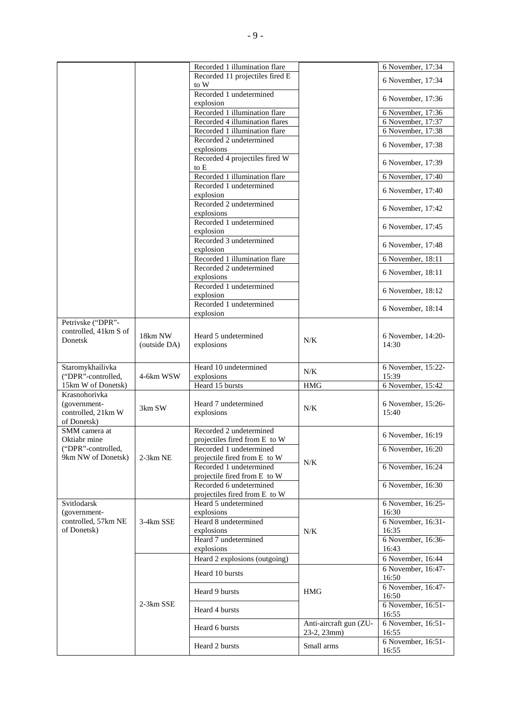|                                     |                         | Recorded 1 illumination flare                            |                                       | 6 November, 17:34                                    |
|-------------------------------------|-------------------------|----------------------------------------------------------|---------------------------------------|------------------------------------------------------|
|                                     |                         | Recorded 11 projectiles fired E<br>to W                  |                                       | 6 November, 17:34                                    |
|                                     |                         | Recorded 1 undetermined                                  |                                       |                                                      |
|                                     |                         | explosion                                                |                                       | 6 November, 17:36                                    |
|                                     |                         | Recorded 1 illumination flare                            |                                       | 6 November, 17:36                                    |
|                                     |                         | Recorded 4 illumination flares                           |                                       | 6 November, 17:37                                    |
|                                     |                         | Recorded 1 illumination flare                            |                                       | 6 November, 17:38                                    |
|                                     |                         | Recorded 2 undetermined<br>explosions                    |                                       | 6 November, 17:38                                    |
|                                     |                         | Recorded 4 projectiles fired W<br>to E                   |                                       | 6 November, 17:39                                    |
|                                     |                         | Recorded 1 illumination flare                            |                                       | 6 November, 17:40                                    |
|                                     |                         | Recorded 1 undetermined                                  |                                       | 6 November, 17:40                                    |
|                                     |                         | explosion                                                |                                       |                                                      |
|                                     |                         | Recorded 2 undetermined<br>explosions                    |                                       | 6 November, 17:42                                    |
|                                     |                         | Recorded 1 undetermined                                  |                                       |                                                      |
|                                     |                         | explosion                                                |                                       | 6 November, 17:45                                    |
|                                     |                         | Recorded 3 undetermined<br>explosion                     |                                       | 6 November, 17:48                                    |
|                                     |                         | Recorded 1 illumination flare                            |                                       | 6 November, 18:11                                    |
|                                     |                         | Recorded 2 undetermined                                  |                                       | 6 November, 18:11                                    |
|                                     |                         | explosions<br>Recorded 1 undetermined                    |                                       |                                                      |
|                                     |                         | explosion                                                |                                       | 6 November, 18:12                                    |
|                                     |                         | Recorded 1 undetermined<br>explosion                     |                                       | 6 November, 18:14                                    |
| Petrivske ("DPR"-                   |                         |                                                          |                                       |                                                      |
| controlled, 41km S of<br>Donetsk    | 18km NW<br>(outside DA) | Heard 5 undetermined<br>explosions                       | N/K                                   | 6 November, 14:20-<br>14:30                          |
|                                     |                         |                                                          |                                       |                                                      |
| Staromykhailivka                    |                         | Heard 10 undetermined                                    | N/K                                   | 6 November, 15:22-                                   |
| ("DPR"-controlled,                  | 4-6km WSW               | explosions                                               |                                       | 15:39                                                |
| 15km W of Donetsk)<br>Krasnohorivka |                         | Heard 15 bursts                                          | <b>HMG</b>                            | 6 November, 15:42                                    |
| (government-                        |                         | Heard 7 undetermined                                     |                                       | 6 November, 15:26-                                   |
| controlled, 21km W                  | 3km SW                  | explosions                                               | N/K                                   | 15:40                                                |
| of Donetsk)                         |                         |                                                          |                                       |                                                      |
| SMM camera at                       |                         | Recorded 2 undetermined                                  |                                       | 6 November, 16:19                                    |
| Oktiabr mine<br>("DPR"-controlled,  |                         | projectiles fired from E to W<br>Recorded 1 undetermined |                                       | 6 November, 16:20                                    |
| 9km NW of Donetsk)                  | $2-3km$ NE              | projectile fired from E to W                             |                                       |                                                      |
|                                     |                         | Recorded 1 undetermined                                  | N/K                                   | 6 November, 16:24                                    |
|                                     |                         |                                                          |                                       |                                                      |
|                                     |                         | projectile fired from E to W                             |                                       |                                                      |
|                                     |                         | Recorded 6 undetermined                                  |                                       | 6 November, 16:30                                    |
|                                     |                         | projectiles fired from E to W                            |                                       |                                                      |
| Svitlodarsk<br>(government-         |                         | Heard 5 undetermined<br>explosions                       |                                       | 6 November, 16:25-<br>16:30                          |
| controlled, 57km NE                 | 3-4km SSE               | Heard 8 undetermined                                     |                                       | 6 November, 16:31-                                   |
| of Donetsk)                         |                         | explosions                                               | $N/K$                                 | 16:35                                                |
|                                     |                         | Heard 7 undetermined                                     |                                       | 6 November, 16:36-                                   |
|                                     |                         | explosions                                               |                                       | 16:43                                                |
|                                     |                         | Heard 2 explosions (outgoing)                            |                                       | 6 November, 16:44                                    |
|                                     |                         | Heard 10 bursts                                          |                                       | 6 November, 16:47-<br>16:50                          |
|                                     |                         | Heard 9 bursts                                           | <b>HMG</b>                            | 6 November, 16:47-<br>16:50                          |
|                                     | 2-3km SSE               | Heard 4 bursts                                           |                                       | 6 November, 16:51-<br>16:55                          |
|                                     |                         | Heard 6 bursts                                           | Anti-aircraft gun (ZU-<br>23-2, 23mm) | 6 November, $16:51$ -<br>16:55<br>6 November, 16:51- |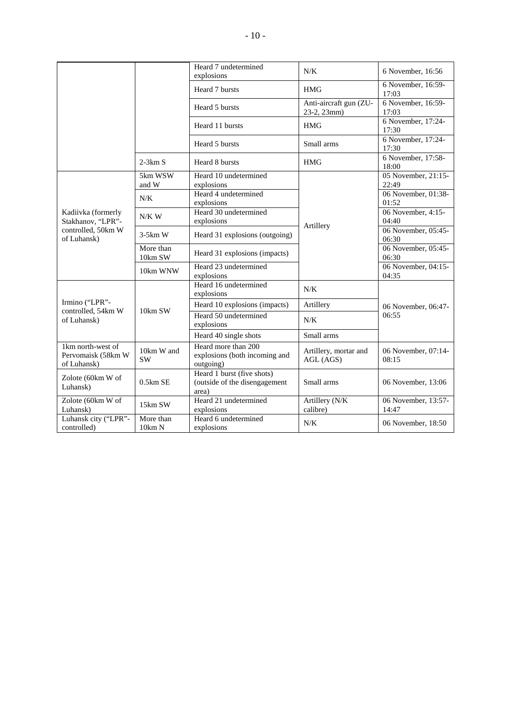|                                                        |                         | Heard 7 undetermined<br>explosions                                   | N/K                                   | 6 November, 16:56            |
|--------------------------------------------------------|-------------------------|----------------------------------------------------------------------|---------------------------------------|------------------------------|
|                                                        |                         | Heard 7 bursts                                                       | <b>HMG</b>                            | 6 November, 16:59-<br>17:03  |
|                                                        |                         | Heard 5 bursts                                                       | Anti-aircraft gun (ZU-<br>23-2, 23mm) | 6 November, 16:59-<br>17:03  |
|                                                        |                         | Heard 11 bursts                                                      | <b>HMG</b>                            | 6 November, 17:24-<br>17:30  |
|                                                        |                         | Heard 5 bursts                                                       | Small arms                            | 6 November, 17:24-<br>17:30  |
|                                                        | $2-3km S$               | Heard 8 bursts                                                       | <b>HMG</b>                            | 6 November, 17:58-<br>18:00  |
|                                                        | 5km WSW<br>and W        | Heard 10 undetermined<br>explosions                                  |                                       | 05 November, 21:15-<br>22:49 |
|                                                        | N/K                     | Heard 4 undetermined<br>explosions                                   |                                       | 06 November, 01:38-<br>01:52 |
| Kadiivka (formerly<br>Stakhanov, "LPR"-                | $N/K$ W                 | Heard 30 undetermined<br>explosions                                  | Artillery                             | 06 November, 4:15-<br>04:40  |
| controlled, 50km W<br>of Luhansk)                      | $3-5km$ W               | Heard 31 explosions (outgoing)                                       |                                       | 06 November, 05:45-<br>06:30 |
|                                                        | More than<br>10km SW    | Heard 31 explosions (impacts)                                        |                                       | 06 November, 05:45-<br>06:30 |
|                                                        | 10km WNW                | Heard 23 undetermined<br>explosions                                  |                                       | 06 November, 04:15-<br>04:35 |
|                                                        |                         | Heard 16 undetermined<br>explosions                                  | N/K                                   |                              |
| Irmino ("LPR"-                                         |                         | Heard 10 explosions (impacts)                                        | Artillery                             | 06 November, 06:47-          |
| controlled, 54km W<br>of Luhansk)                      | 10km SW                 | Heard 50 undetermined<br>explosions                                  | N/K                                   | 06:55                        |
|                                                        |                         | Heard 40 single shots                                                | Small arms                            |                              |
| 1km north-west of<br>Pervomaisk (58km W<br>of Luhansk) | 10km W and<br><b>SW</b> | Heard more than 200<br>explosions (both incoming and<br>outgoing)    | Artillery, mortar and<br>AGL (AGS)    | 06 November, 07:14-<br>08:15 |
| Zolote (60km W of<br>Luhansk)                          | $0.5km$ SE              | Heard 1 burst (five shots)<br>(outside of the disengagement<br>area) | Small arms                            | 06 November, 13:06           |
| Zolote (60km W of<br>Luhansk)                          | $15 \mathrm{km}$ SW     | Heard 21 undetermined<br>explosions                                  | Artillery (N/K<br>calibre)            | 06 November, 13:57-<br>14:47 |
| Luhansk city ("LPR"-<br>controlled)                    | More than<br>10km N     | Heard 6 undetermined<br>explosions                                   | N/K                                   | 06 November, 18:50           |